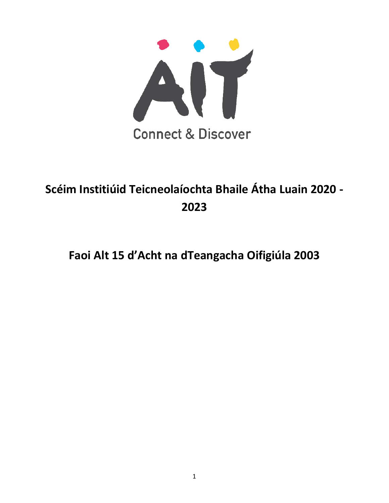

# **Scéim Institiúid Teicneolaíochta Bhaile Átha Luain 2020 - 2023**

# **Faoi Alt 15 d'Acht na dTeangacha Oifigiúla 2003**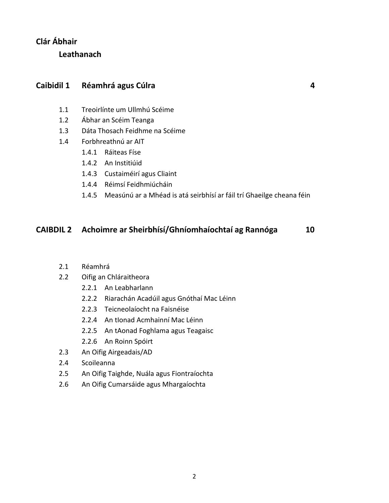#### **Clár Ábhair**

**Leathanach**

#### **Caibidil 1 Réamhrá agus Cúlra 4**

- 1.1 Treoirlínte um Ullmhú Scéime
- 1.2 Ábhar an Scéim Teanga
- 1.3 Dáta Thosach Feidhme na Scéime
- 1.4 Forbhreathnú ar AIT
	- 1.4.1 Ráiteas Físe
	- 1.4.2 An Institiúid
	- 1.4.3 Custaiméirí agus Cliaint
	- 1.4.4 Réimsí Feidhmiúcháin
	- 1.4.5 Measúnú ar a Mhéad is atá seirbhísí ar fáil trí Ghaeilge cheana féin

#### **CAIBDIL 2 Achoimre ar Sheirbhísí/Ghníomhaíochtaí ag Rannóga 10**

- 2.1 Réamhrá
- 2.2 Oifig an Chláraitheora
	- 2.2.1 An Leabharlann
	- 2.2.2 Riarachán Acadúil agus Gnóthaí Mac Léinn
	- 2.2.3 Teicneolaíocht na Faisnéise
	- 2.2.4 An tIonad Acmhainní Mac Léinn
	- 2.2.5 An tAonad Foghlama agus Teagaisc
	- 2.2.6 An Roinn Spóirt
- 2.3 An Oifig Airgeadais/AD
- 2.4 Scoileanna
- 2.5 An Oifig Taighde, Nuála agus Fiontraíochta
- 2.6 An Oifig Cumarsáide agus Mhargaíochta

2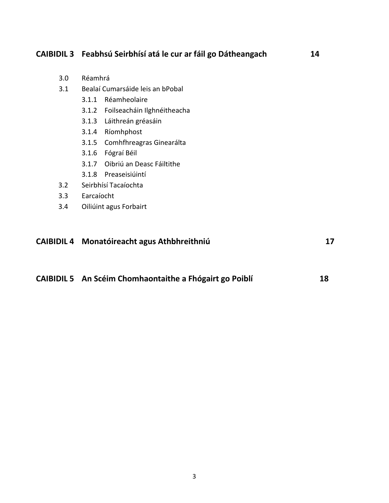#### **CAIBIDIL 3 Feabhsú Seirbhísí atá le cur ar fáil go Dátheangach 14**

- 3.0 Réamhrá
- 3.1 Bealaí Cumarsáide leis an bPobal
	- 3.1.1 Réamheolaire
	- 3.1.2 Foilseacháin Ilghnéitheacha
	- 3.1.3 Láithreán gréasáin
	- 3.1.4 Ríomhphost
	- 3.1.5 Comhfhreagras Ginearálta
	- 3.1.6 Fógraí Béil
	- 3.1.7 Oibriú an Deasc Fáiltithe
	- 3.1.8 Preaseisiúintí
- 3.2 Seirbhísí Tacaíochta
- 3.3 Earcaíocht
- 3.4 Oiliúint agus Forbairt

#### **CAIBIDIL 4 Monatóireacht agus Athbhreithniú 17**

**CAIBIDIL 5 An Scéim Chomhaontaithe a Fhógairt go Poiblí 18**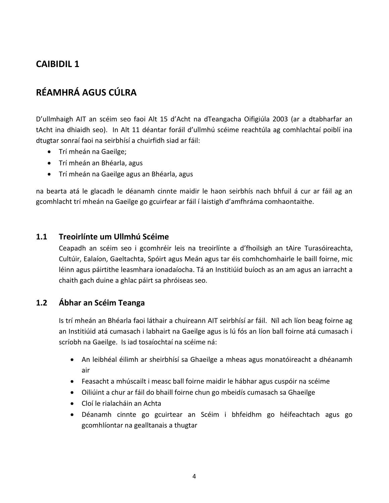# **RÉAMHRÁ AGUS CÚLRA**

D'ullmhaigh AIT an scéim seo faoi Alt 15 d'Acht na dTeangacha Oifigiúla 2003 (ar a dtabharfar an tAcht ina dhiaidh seo). In Alt 11 déantar foráil d'ullmhú scéime reachtúla ag comhlachtaí poiblí ina dtugtar sonraí faoi na seirbhísí a chuirfidh siad ar fáil:

- Trí mheán na Gaeilge;
- Trí mheán an Bhéarla, agus
- Trí mheán na Gaeilge agus an Bhéarla, agus

na bearta atá le glacadh le déanamh cinnte maidir le haon seirbhís nach bhfuil á cur ar fáil ag an gcomhlacht trí mheán na Gaeilge go gcuirfear ar fáil í laistigh d'amfhráma comhaontaithe.

#### **1.1 Treoirlínte um Ullmhú Scéime**

Ceapadh an scéim seo i gcomhréir leis na treoirlínte a d'fhoilsigh an tAire Turasóireachta, Cultúir, Ealaíon, Gaeltachta, Spóirt agus Meán agus tar éis comhchomhairle le baill foirne, mic léinn agus páirtithe leasmhara ionadaíocha. Tá an Institiúid buíoch as an am agus an iarracht a chaith gach duine a ghlac páirt sa phróiseas seo.

#### **1.2 Ábhar an Scéim Teanga**

Is trí mheán an Bhéarla faoi láthair a chuireann AIT seirbhísí ar fáil. Níl ach líon beag foirne ag an Institiúid atá cumasach i labhairt na Gaeilge agus is lú fós an líon ball foirne atá cumasach i scríobh na Gaeilge. Is iad tosaíochtaí na scéime ná:

- An leibhéal éilimh ar sheirbhísí sa Ghaeilge a mheas agus monatóireacht a dhéanamh air
- Feasacht a mhúscailt i measc ball foirne maidir le hábhar agus cuspóir na scéime
- Oiliúint a chur ar fáil do bhaill foirne chun go mbeidís cumasach sa Ghaeilge
- Cloí le rialacháin an Achta
- Déanamh cinnte go gcuirtear an Scéim i bhfeidhm go héifeachtach agus go gcomhlíontar na gealltanais a thugtar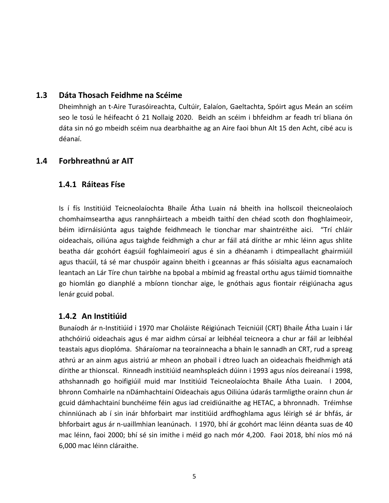#### **1.3 Dáta Thosach Feidhme na Scéime**

Dheimhnigh an t-Aire Turasóireachta, Cultúir, Ealaíon, Gaeltachta, Spóirt agus Meán an scéim seo le tosú le héifeacht ó 21 Nollaig 2020. Beidh an scéim i bhfeidhm ar feadh trí bliana ón dáta sin nó go mbeidh scéim nua dearbhaithe ag an Aire faoi bhun Alt 15 den Acht, cibé acu is déanaí.

#### **1.4 Forbhreathnú ar AIT**

#### **1.4.1 Ráiteas Físe**

Is í fís Institiúid Teicneolaíochta Bhaile Átha Luain ná bheith ina hollscoil theicneolaíoch chomhaimseartha agus rannpháirteach a mbeidh taithí den chéad scoth don fhoghlaimeoir, béim idirnáisiúnta agus taighde feidhmeach le tionchar mar shaintréithe aici. "Trí chláir oideachais, oiliúna agus taighde feidhmigh a chur ar fáil atá dírithe ar mhic léinn agus shlite beatha dár gcohórt éagsúil foghlaimeoirí agus é sin a dhéanamh i dtimpeallacht ghairmiúil agus thacúil, tá sé mar chuspóir againn bheith i gceannas ar fhás sóisialta agus eacnamaíoch leantach an Lár Tíre chun tairbhe na bpobal a mbímid ag freastal orthu agus táimid tiomnaithe go hiomlán go dianphlé a mbíonn tionchar aige, le gnóthais agus fiontair réigiúnacha agus lenár gcuid pobal.

#### **1.4.2 An Institiúid**

Bunaíodh ár n-Institiúid i 1970 mar Choláiste Réigiúnach Teicniúil (CRT) Bhaile Átha Luain i lár athchóiriú oideachais agus é mar aidhm cúrsaí ar leibhéal teicneora a chur ar fáil ar leibhéal teastais agus dioplóma. Sháraíomar na teorainneacha a bhain le sannadh an CRT, rud a spreag athrú ar an ainm agus aistriú ar mheon an phobail i dtreo luach an oideachais fheidhmigh atá dírithe ar thionscal. Rinneadh institiúid neamhspleách dúinn i 1993 agus níos deireanaí i 1998, athshannadh go hoifigiúil muid mar Institiúid Teicneolaíochta Bhaile Átha Luain. I 2004, bhronn Comhairle na nDámhachtainí Oideachais agus Oiliúna údarás tarmligthe orainn chun ár gcuid dámhachtainí bunchéime féin agus iad creidiúnaithe ag HETAC, a bhronnadh. Tréimhse chinniúnach ab í sin inár bhforbairt mar institiúid ardfhoghlama agus léirigh sé ár bhfás, ár bhforbairt agus ár n-uaillmhian leanúnach. I 1970, bhí ár gcohórt mac léinn déanta suas de 40 mac léinn, faoi 2000; bhí sé sin imithe i méid go nach mór 4,200. Faoi 2018, bhí níos mó ná 6,000 mac léinn cláraithe.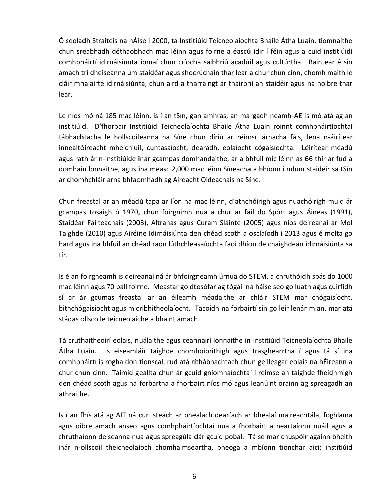Ó seoladh Straitéis na hÁise i 2000, tá Institiúid Teicneolaíochta Bhaile Átha Luain, tiomnaithe chun sreabhadh déthaobhach mac léinn agus foirne a éascú idir í féin agus a cuid institiúidí comhpháirtí idirnáisiúnta iomaí chun críocha saibhriú acadúil agus cultúrtha. Baintear é sin amach trí dheiseanna um staidéar agus shocrúcháin thar lear a chur chun cinn, chomh maith le cláir mhalairte idirnáisiúnta, chun aird a tharraingt ar thairbhí an staidéir agus na hoibre thar lear.

Le níos mó ná 185 mac léinn, is í an tSín, gan amhras, an margadh neamh-AE is mó atá ag an institiúid. D'fhorbair Institiúid Teicneolaíochta Bhaile Átha Luain roinnt comhpháirtíochtaí tábhachtacha le hollscoileanna na Síne chun díriú ar réimsí lárnacha fáis, lena n-áirítear innealtóireacht mheicniúil, cuntasaíocht, dearadh, eolaíocht cógaisíochta. Léirítear méadú agus rath ár n-institiúide inár gcampas domhandaithe, ar a bhfuil mic léinn as 66 thír ar fud a domhain lonnaithe, agus ina measc 2,000 mac léinn Síneacha a bhíonn i mbun staidéir sa tSín ar chomhchláir arna bhfaomhadh ag Aireacht Oideachais na Síne.

Chun freastal ar an méadú tapa ar líon na mac léinn, d'athchóirigh agus nuachóirigh muid ár gcampas tosaigh ó 1970, chun foirgnimh nua a chur ar fáil do Spórt agus Áineas (1991), Staidéar Fáilteachais (2003), Altranas agus Cúram Sláinte (2005) agus níos deireanaí ar Mol Taighde (2010) agus Airéine Idirnáisiúnta den chéad scoth a osclaíodh i 2013 agus é molta go hard agus ina bhfuil an chéad raon lúthchleasaíochta faoi dhíon de chaighdeán idirnáisiúnta sa tír.

Is é an foirgneamh is deireanaí ná ár bhfoirgneamh úrnua do STEM, a chruthóidh spás do 1000 mac léinn agus 70 ball foirne. Meastar go dtosófar ag tógáil na háise seo go luath agus cuirfidh sí ar ár gcumas freastal ar an éileamh méadaithe ar chláir STEM mar chógaisíocht, bithchógaisíocht agus micribhitheolaíocht. Tacóidh na forbairtí sin go léir lenár mian, mar atá stádas ollscoile teicneolaíche a bhaint amach.

Tá cruthaitheoirí eolais, nuálaithe agus ceannairí lonnaithe in Institiúid Teicneolaíochta Bhaile Átha Luain. Is eiseamláir taighde chomhoibrithigh agus trasghearrtha í agus tá sí ina comhpháirtí is rogha don tionscal, rud atá ríthábhachtach chun geilleagar eolais na hÉireann a chur chun cinn. Táimid geallta chun ár gcuid gníomhaíochtaí i réimse an taighde fheidhmigh den chéad scoth agus na forbartha a fhorbairt níos mó agus leanúint orainn ag spreagadh an athraithe.

Is í an fhís atá ag AIT ná cur isteach ar bhealach dearfach ar bhealaí maireachtála, foghlama agus oibre amach anseo agus comhpháirtíochtaí nua a fhorbairt a neartaíonn nuáil agus a chruthaíonn deiseanna nua agus spreagúla dár gcuid pobal. Tá sé mar chuspóir againn bheith inár n-ollscoil theicneolaíoch chomhaimseartha, bheoga a mbíonn tionchar aici; institiúid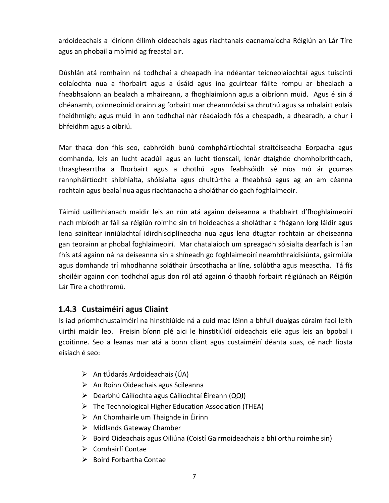ardoideachais a léiríonn éilimh oideachais agus riachtanais eacnamaíocha Réigiún an Lár Tíre agus an phobail a mbímid ag freastal air.

Dúshlán atá romhainn ná todhchaí a cheapadh ina ndéantar teicneolaíochtaí agus tuiscintí eolaíochta nua a fhorbairt agus a úsáid agus ina gcuirtear fáilte rompu ar bhealach a fheabhsaíonn an bealach a mhaireann, a fhoghlaimíonn agus a oibríonn muid. Agus é sin á dhéanamh, coinneoimid orainn ag forbairt mar cheannródaí sa chruthú agus sa mhalairt eolais fheidhmigh; agus muid in ann todhchaí nár réadaíodh fós a cheapadh, a dhearadh, a chur i bhfeidhm agus a oibriú.

Mar thaca don fhís seo, cabhróidh bunú comhpháirtíochtaí straitéiseacha Eorpacha agus domhanda, leis an lucht acadúil agus an lucht tionscail, lenár dtaighde chomhoibritheach, thrasghearrtha a fhorbairt agus a chothú agus feabhsóidh sé níos mó ár gcumas rannpháirtíocht shibhialta, shóisialta agus chultúrtha a fheabhsú agus ag an am céanna rochtain agus bealaí nua agus riachtanacha a sholáthar do gach foghlaimeoir.

Táimid uaillmhianach maidir leis an rún atá againn deiseanna a thabhairt d'fhoghlaimeoirí nach mbíodh ar fáil sa réigiún roimhe sin trí hoideachas a sholáthar a fhágann lorg láidir agus lena sainítear inniúlachtaí idirdhisciplíneacha nua agus lena dtugtar rochtain ar dheiseanna gan teorainn ar phobal foghlaimeoirí. Mar chatalaíoch um spreagadh sóisialta dearfach is í an fhís atá againn ná na deiseanna sin a shíneadh go foghlaimeoirí neamhthraidisiúnta, gairmiúla agus domhanda trí mhodhanna soláthair úrscothacha ar líne, solúbtha agus measctha. Tá fís shoiléir againn don todhchaí agus don ról atá againn ó thaobh forbairt réigiúnach an Réigiún Lár Tíre a chothromú.

#### **1.4.3 Custaiméirí agus Cliaint**

Is iad príomhchustaiméirí na hInstitiúide ná a cuid mac léinn a bhfuil dualgas cúraim faoi leith uirthi maidir leo. Freisin bíonn plé aici le hinstitiúidí oideachais eile agus leis an bpobal i gcoitinne. Seo a leanas mar atá a bonn cliant agus custaiméirí déanta suas, cé nach liosta eisiach é seo:

- $\triangleright$  An tÚdarás Ardoideachais (ÚA)
- An Roinn Oideachais agus Scileanna
- Dearbhú Cáilíochta agus Cáilíochtaí Éireann (QQI)
- $\triangleright$  The Technological Higher Education Association (THEA)
- $\triangleright$  An Chomhairle um Thaighde in Éirinn
- $\triangleright$  Midlands Gateway Chamber
- $\triangleright$  Boird Oideachais agus Oiliúna (Coistí Gairmoideachais a bhí orthu roimhe sin)
- $\triangleright$  Comhairlí Contae
- $\triangleright$  Boird Forbartha Contae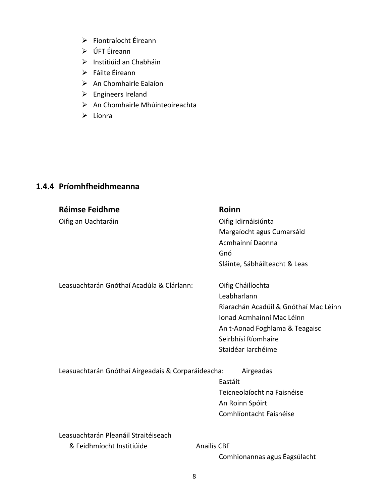- Fiontraíocht Éireann
- ÚFT Éireann
- Institiúid an Chabháin
- Fáilte Éireann
- $\triangleright$  An Chomhairle Ealaíon
- $\triangleright$  Engineers Ireland
- An Chomhairle Mhúinteoireachta
- $\triangleright$  Líonra

# **1.4.4 Príomhfheidhmeanna**

| <b>Réimse Feidhme</b>                              | Roinn                                 |
|----------------------------------------------------|---------------------------------------|
| Oifig an Uachtaráin                                | Oifig Idirnáisiúnta                   |
|                                                    | Margaíocht agus Cumarsáid             |
|                                                    | Acmhainní Daonna                      |
|                                                    | Gnó                                   |
|                                                    | Sláinte, Sábháilteacht & Leas         |
| Leasuachtarán Gnóthaí Acadúla & Clárlann:          | Oifig Cháilíochta                     |
|                                                    | Leabharlann                           |
|                                                    | Riarachán Acadúil & Gnóthaí Mac Léinn |
|                                                    | Ionad Acmhainní Mac Léinn             |
|                                                    | An t-Aonad Foghlama & Teagaisc        |
|                                                    | Seirbhísí Ríomhaire                   |
|                                                    | Staidéar Iarchéime                    |
| Leasuachtarán Gnóthaí Airgeadais & Corparáideacha: | Airgeadas                             |
|                                                    | Eastáit                               |
|                                                    | Teicneolaíocht na Faisnéise           |
|                                                    | An Roinn Spóirt                       |
|                                                    | Comhlíontacht Faisnéise               |
| Leasuachtarán Pleanáil Straitéiseach               |                                       |
| & Feidhmíocht Institiúide                          | <b>Anailís CBF</b>                    |
|                                                    | Comhionannas agus Éagsúlacht          |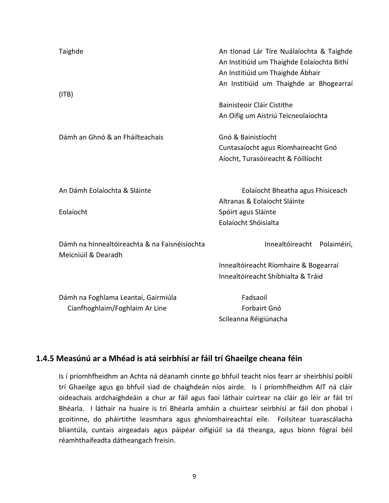| Taighde<br>(ITB)                                                     | An tIonad Lár Tíre Nuálaíochta & Taighde<br>An Institiúid um Thaighde Eolaíochta Bithí<br>An Institiúid um Thaighde Ábhair<br>An Institiúid um Thaighde ar Bhogearraí |
|----------------------------------------------------------------------|-----------------------------------------------------------------------------------------------------------------------------------------------------------------------|
|                                                                      | Bainisteoir Cláir Cistithe                                                                                                                                            |
|                                                                      | An Oifig um Aistriú Teicneolaíochta                                                                                                                                   |
| Dámh an Ghnó & an Fháilteachais                                      | Gnó & Bainistíocht                                                                                                                                                    |
|                                                                      | Cuntasaíocht agus Ríomhaireacht Gnó                                                                                                                                   |
|                                                                      | Aíocht, Turasóireacht & Fóillíocht                                                                                                                                    |
| An Dámh Eolaíochta & Sláinte                                         | Eolaíocht Bheatha agus Fhisiceach                                                                                                                                     |
|                                                                      | Altranas & Eolaíocht Sláinte                                                                                                                                          |
| Eolaíocht                                                            | Spóirt agus Sláinte                                                                                                                                                   |
|                                                                      | Eolaíocht Shóisialta                                                                                                                                                  |
| Dámh na hInnealtóireachta & na Faisnéisíochta<br>Meicniúil & Dearadh | Innealtóireacht Polaiméirí,                                                                                                                                           |
|                                                                      | Innealtóireacht Ríomhaire & Bogearraí                                                                                                                                 |
|                                                                      | Innealtóireacht Shibhialta & Tráid                                                                                                                                    |
| Dámh na Foghlama Leantaí, Gairmiúla                                  | Fadsaoil                                                                                                                                                              |
| Cianfhoghlaim/Foghlaim Ar Líne                                       | Forbairt Gnó                                                                                                                                                          |
|                                                                      | Scileanna Réigiúnacha                                                                                                                                                 |

### **1.4.5 Measúnú ar a Mhéad is atá seirbhísí ar fáil trí Ghaeilge cheana féin**

Is í príomhfheidhm an Achta ná déanamh cinnte go bhfuil teacht níos fearr ar sheirbhísí poiblí trí Ghaeilge agus go bhfuil siad de chaighdeán níos airde. Is í príomhfheidhm AIT ná cláir oideachais ardchaighdeáin a chur ar fáil agus faoi láthair cuirtear na cláir go léir ar fáil trí Bhéarla. I láthair na huaire is trí Bhéarla amháin a chuirtear seirbhísí ar fáil don phobal i gcoitinne, do pháirtithe leasmhara agus ghníomhaireachtaí eile. Foilsítear tuarascálacha bliantúla, cuntais airgeadais agus páipéar oifigiúil sa dá theanga, agus bíonn fógraí béil réamhthaifeadta dátheangach freisin.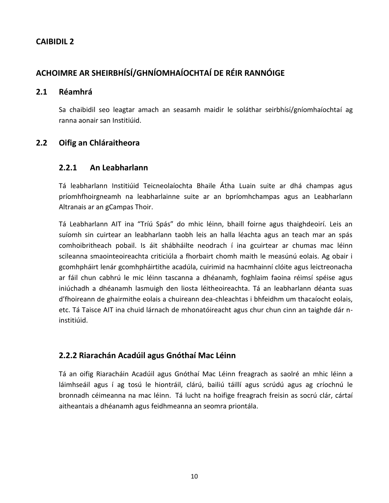### **ACHOIMRE AR SHEIRBHÍSÍ/GHNÍOMHAÍOCHTAÍ DE RÉIR RANNÓIGE**

#### **2.1 Réamhrá**

Sa chaibidil seo leagtar amach an seasamh maidir le soláthar seirbhísí/gníomhaíochtaí ag ranna aonair san Institiúid.

#### **2.2 Oifig an Chláraitheora**

#### **2.2.1 An Leabharlann**

Tá leabharlann Institiúid Teicneolaíochta Bhaile Átha Luain suite ar dhá champas agus príomhfhoirgneamh na leabharlainne suite ar an bpríomhchampas agus an Leabharlann Altranais ar an gCampas Thoir.

Tá Leabharlann AIT ina "Tríú Spás" do mhic léinn, bhaill foirne agus thaighdeoirí. Leis an suíomh sin cuirtear an leabharlann taobh leis an halla léachta agus an teach mar an spás comhoibritheach pobail. Is áit shábháilte neodrach í ina gcuirtear ar chumas mac léinn scileanna smaointeoireachta criticiúla a fhorbairt chomh maith le measúnú eolais. Ag obair i gcomhpháirt lenár gcomhpháirtithe acadúla, cuirimid na hacmhainní clóite agus leictreonacha ar fáil chun cabhrú le mic léinn tascanna a dhéanamh, foghlaim faoina réimsí spéise agus iniúchadh a dhéanamh lasmuigh den liosta léitheoireachta. Tá an leabharlann déanta suas d'fhoireann de ghairmithe eolais a chuireann dea-chleachtas i bhfeidhm um thacaíocht eolais, etc. Tá Taisce AIT ina chuid lárnach de mhonatóireacht agus chur chun cinn an taighde dár ninstitiúid.

#### **2.2.2 Riarachán Acadúil agus Gnóthaí Mac Léinn**

Tá an oifig Riaracháin Acadúil agus Gnóthaí Mac Léinn freagrach as saolré an mhic léinn a láimhseáil agus í ag tosú le hiontráil, clárú, bailiú táillí agus scrúdú agus ag críochnú le bronnadh céimeanna na mac léinn. Tá lucht na hoifige freagrach freisin as socrú clár, cártaí aitheantais a dhéanamh agus feidhmeanna an seomra priontála.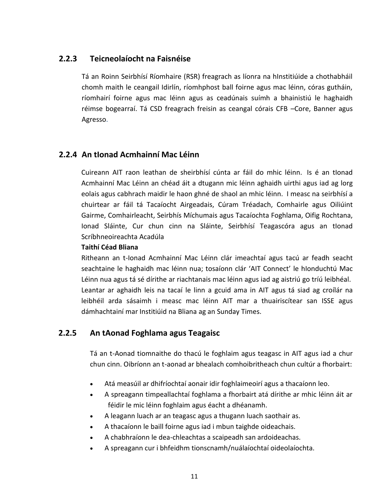#### **2.2.3 Teicneolaíocht na Faisnéise**

Tá an Roinn Seirbhísí Ríomhaire (RSR) freagrach as líonra na hInstitiúide a chothabháil chomh maith le ceangail Idirlín, ríomhphost ball foirne agus mac léinn, córas gutháin, ríomhairí foirne agus mac léinn agus as ceadúnais suímh a bhainistiú le haghaidh réimse bogearraí. Tá CSD freagrach freisin as ceangal córais CFB –Core, Banner agus Agresso.

#### **2.2.4 An tIonad Acmhainní Mac Léinn**

Cuireann AIT raon leathan de sheirbhísí cúnta ar fáil do mhic léinn. Is é an tIonad Acmhainní Mac Léinn an chéad áit a dtugann mic léinn aghaidh uirthi agus iad ag lorg eolais agus cabhrach maidir le haon ghné de shaol an mhic léinn. I measc na seirbhísí a chuirtear ar fáil tá Tacaíocht Airgeadais, Cúram Tréadach, Comhairle agus Oiliúint Gairme, Comhairleacht, Seirbhís Míchumais agus Tacaíochta Foghlama, Oifig Rochtana, Ionad Sláinte, Cur chun cinn na Sláinte, Seirbhísí Teagascóra agus an tIonad Scríbhneoireachta Acadúla

#### **Taithí Céad Bliana**

Ritheann an t-Ionad Acmhainní Mac Léinn clár imeachtaí agus tacú ar feadh seacht seachtaine le haghaidh mac léinn nua; tosaíonn clár 'AIT Connect' le hIonduchtú Mac Léinn nua agus tá sé dírithe ar riachtanais mac léinn agus iad ag aistriú go tríú leibhéal. Leantar ar aghaidh leis na tacaí le linn a gcuid ama in AIT agus tá siad ag croílár na leibhéil arda sásaimh i measc mac léinn AIT mar a thuairiscítear san ISSE agus dámhachtainí mar Institiúid na Bliana ag an Sunday Times.

#### **2.2.5 An tAonad Foghlama agus Teagaisc**

Tá an t-Aonad tiomnaithe do thacú le foghlaim agus teagasc in AIT agus iad a chur chun cinn. Oibríonn an t-aonad ar bhealach comhoibritheach chun cultúr a fhorbairt:

- Atá measúil ar dhifríochtaí aonair idir foghlaimeoirí agus a thacaíonn leo.
- A spreagann timpeallachtaí foghlama a fhorbairt atá dírithe ar mhic léinn áit ar féidir le mic léinn foghlaim agus éacht a dhéanamh.
- A leagann luach ar an teagasc agus a thugann luach saothair as.
- A thacaíonn le baill foirne agus iad i mbun taighde oideachais.
- A chabhraíonn le dea-chleachtas a scaipeadh san ardoideachas.
- A spreagann cur i bhfeidhm tionscnamh/nuálaíochtaí oideolaíochta.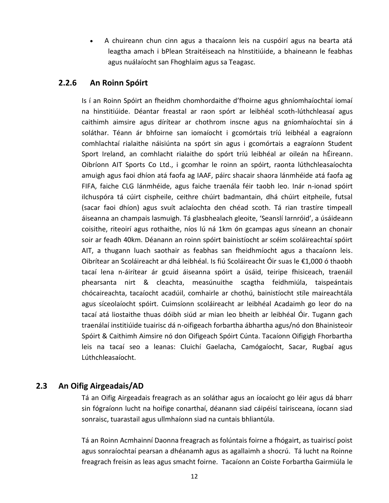A chuireann chun cinn agus a thacaíonn leis na cuspóirí agus na bearta atá leagtha amach i bPlean Straitéiseach na hInstitiúide, a bhaineann le feabhas agus nuálaíocht san Fhoghlaim agus sa Teagasc.

#### **2.2.6 An Roinn Spóirt**

Is í an Roinn Spóirt an fheidhm chomhordaithe d'fhoirne agus ghníomhaíochtaí iomaí na hinstitiúide. Déantar freastal ar raon spórt ar leibhéal scoth-lúthchleasaí agus caithimh aimsire agus dírítear ar chothrom inscne agus na gníomhaíochtaí sin á soláthar. Téann ár bhfoirne san iomaíocht i gcomórtais tríú leibhéal a eagraíonn comhlachtaí rialaithe náisiúnta na spórt sin agus i gcomórtais a eagraíonn Student Sport Ireland, an comhlacht rialaithe do spórt tríú leibhéal ar oileán na hÉireann. Oibríonn AIT Sports Co Ltd., i gcomhar le roinn an spóirt, raonta lúthchleasaíochta amuigh agus faoi dhíon atá faofa ag IAAF, páirc shacair shaora lánmhéide atá faofa ag FIFA, faiche CLG lánmhéide, agus faiche traenála féir taobh leo. Inár n-ionad spóirt ilchuspóra tá cúirt cispheile, ceithre chúirt badmantain, dhá chúirt eitpheile, futsal (sacar faoi dhíon) agus svuít aclaíochta den chéad scoth. Tá rian trastíre timpeall áiseanna an champais lasmuigh. Tá glasbhealach gleoite, 'Seanslí Iarnróid', a úsáideann coisithe, riteoirí agus rothaithe, níos lú ná 1km ón gcampas agus síneann an chonair soir ar feadh 40km. Déanann an roinn spóirt bainistíocht ar scéim scoláireachtaí spóirt AIT, a thugann luach saothair as feabhas san fheidhmíocht agus a thacaíonn leis. Oibrítear an Scoláireacht ar dhá leibhéal. Is fiú Scoláireacht Óir suas le €1,000 ó thaobh tacaí lena n-áirítear ár gcuid áiseanna spóirt a úsáid, teiripe fhisiceach, traenáil phearsanta nirt & cleachta, measúnuithe scagtha feidhmiúla, taispeántais chócaireachta, tacaíocht acadúil, comhairle ar chothú, bainistíocht stíle maireachtála agus síceolaíocht spóirt. Cuimsíonn scoláireacht ar leibhéal Acadaimh go leor do na tacaí atá liostaithe thuas dóibh siúd ar mian leo bheith ar leibhéal Óir. Tugann gach traenálaí institiúide tuairisc dá n-oifigeach forbartha ábhartha agus/nó don Bhainisteoir Spóirt & Caithimh Aimsire nó don Oifigeach Spóirt Cúnta. Tacaíonn Oifigigh Fhorbartha leis na tacaí seo a leanas: Cluichí Gaelacha, Camógaíocht, Sacar, Rugbaí agus Lúthchleasaíocht.

#### **2.3 An Oifig Airgeadais/AD**

Tá an Oifig Airgeadais freagrach as an soláthar agus an íocaíocht go léir agus dá bharr sin fógraíonn lucht na hoifige conarthaí, déanann siad cáipéisí tairisceana, íocann siad sonraisc, tuarastail agus ullmhaíonn siad na cuntais bhliantúla.

Tá an Roinn Acmhainní Daonna freagrach as folúntais foirne a fhógairt, as tuairiscí poist agus sonraíochtaí pearsan a dhéanamh agus as agallaimh a shocrú. Tá lucht na Roinne freagrach freisin as leas agus smacht foirne. Tacaíonn an Coiste Forbartha Gairmiúla le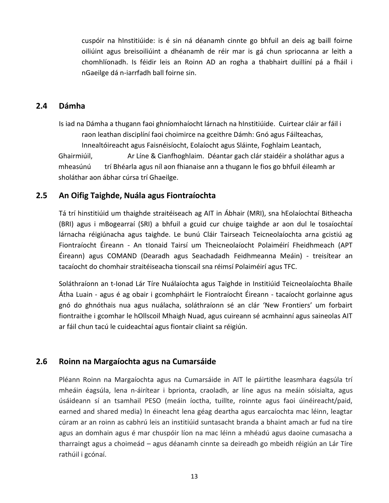cuspóir na hInstitiúide: is é sin ná déanamh cinnte go bhfuil an deis ag baill foirne oiliúint agus breisoiliúint a dhéanamh de réir mar is gá chun spriocanna ar leith a chomhlíonadh. Is féidir leis an Roinn AD an rogha a thabhairt duillíní pá a fháil i nGaeilge dá n-iarrfadh ball foirne sin.

#### **2.4 Dámha**

Is iad na Dámha a thugann faoi ghníomhaíocht lárnach na hInstitiúide. Cuirtear cláir ar fáil i raon leathan disciplíní faoi choimirce na gceithre Dámh: Gnó agus Fáilteachas, Innealtóireacht agus Faisnéisíocht, Eolaíocht agus Sláinte, Foghlaim Leantach, Ghairmiúil, Ar Líne & Cianfhoghlaim. Déantar gach clár staidéir a sholáthar agus a mheasúnú trí Bhéarla agus níl aon fhianaise ann a thugann le fios go bhfuil éileamh ar sholáthar aon ábhar cúrsa trí Ghaeilge.

#### **2.5 An Oifig Taighde, Nuála agus Fiontraíochta**

Tá trí hinstitiúid um thaighde straitéiseach ag AIT in Ábhair (MRI), sna hEolaíochtaí Bitheacha (BRI) agus i mBogearraí (SRI) a bhfuil a gcuid cur chuige taighde ar aon dul le tosaíochtaí lárnacha réigiúnacha agus taighde. Le bunú Cláir Tairseach Teicneolaíochta arna gcistiú ag Fiontraíocht Éireann - An tIonaid Tairsí um Theicneolaíocht Polaiméirí Fheidhmeach (APT Éireann) agus COMAND (Dearadh agus Seachadadh Feidhmeanna Meáin) - treisítear an tacaíocht do chomhair straitéiseacha tionscail sna réimsí Polaiméirí agus TFC.

Soláthraíonn an t-Ionad Lár Tíre Nuálaíochta agus Taighde in Institiúid Teicneolaíochta Bhaile Átha Luain - agus é ag obair i gcomhpháirt le Fiontraíocht Éireann - tacaíocht gorlainne agus gnó do ghnóthais nua agus nuálacha, soláthraíonn sé an clár 'New Frontiers' um forbairt fiontraithe i gcomhar le hOllscoil Mhaigh Nuad, agus cuireann sé acmhainní agus saineolas AIT ar fáil chun tacú le cuideachtaí agus fiontair cliaint sa réigiún.

#### **2.6 Roinn na Margaíochta agus na Cumarsáide**

Pléann Roinn na Margaíochta agus na Cumarsáide in AIT le páirtithe leasmhara éagsúla trí mheáin éagsúla, lena n-áirítear i bprionta, craoladh, ar líne agus na meáin sóisialta, agus úsáideann sí an tsamhail PESO (meáin íoctha, tuillte, roinnte agus faoi úinéireacht/paid, earned and shared media) In éineacht lena géag deartha agus earcaíochta mac léinn, leagtar cúram ar an roinn as cabhrú leis an institiúid suntasacht branda a bhaint amach ar fud na tíre agus an domhain agus é mar chuspóir líon na mac léinn a mhéadú agus daoine cumasacha a tharraingt agus a choimeád – agus déanamh cinnte sa deireadh go mbeidh réigiún an Lár Tíre rathúil i gcónaí.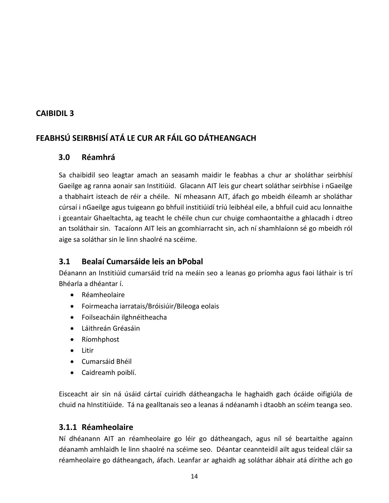# **FEABHSÚ SEIRBHISÍ ATÁ LE CUR AR FÁIL GO DÁTHEANGACH**

#### **3.0 Réamhrá**

Sa chaibidil seo leagtar amach an seasamh maidir le feabhas a chur ar sholáthar seirbhísí Gaeilge ag ranna aonair san Institiúid. Glacann AIT leis gur cheart soláthar seirbhíse i nGaeilge a thabhairt isteach de réir a chéile. Ní mheasann AIT, áfach go mbeidh éileamh ar sholáthar cúrsaí i nGaeilge agus tuigeann go bhfuil institiúidí tríú leibhéal eile, a bhfuil cuid acu lonnaithe i gceantair Ghaeltachta, ag teacht le chéile chun cur chuige comhaontaithe a ghlacadh i dtreo an tsoláthair sin. Tacaíonn AIT leis an gcomhiarracht sin, ach ní shamhlaíonn sé go mbeidh ról aige sa soláthar sin le linn shaolré na scéime.

#### **3.1 Bealaí Cumarsáide leis an bPobal**

Déanann an Institiúid cumarsáid tríd na meáin seo a leanas go príomha agus faoi láthair is trí Bhéarla a dhéantar í.

- Réamheolaire
- Foirmeacha iarratais/Bróisiúir/Bileoga eolais
- Foilseacháin ilghnéitheacha
- Láithreán Gréasáin
- Ríomhphost
- **•** Litir
- Cumarsáid Bhéil
- Caidreamh poiblí.

Eisceacht air sin ná úsáid cártaí cuiridh dátheangacha le haghaidh gach ócáide oifigiúla de chuid na hInstitiúide. Tá na gealltanais seo a leanas á ndéanamh i dtaobh an scéim teanga seo.

#### **3.1.1 Réamheolaire**

Ní dhéanann AIT an réamheolaire go léir go dátheangach, agus níl sé beartaithe againn déanamh amhlaidh le linn shaolré na scéime seo. Déantar ceannteidil ailt agus teideal cláir sa réamheolaire go dátheangach, áfach. Leanfar ar aghaidh ag soláthar ábhair atá dírithe ach go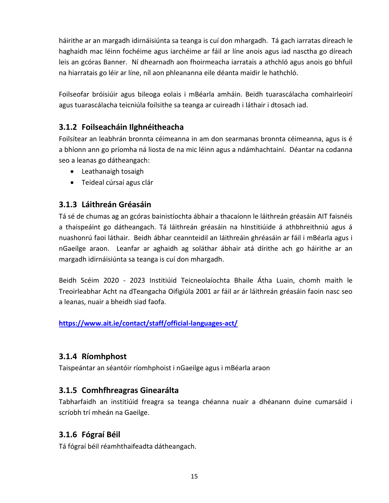háirithe ar an margadh idirnáisiúnta sa teanga is cuí don mhargadh. Tá gach iarratas díreach le haghaidh mac léinn fochéime agus iarchéime ar fáil ar líne anois agus iad nasctha go díreach leis an gcóras Banner. Ní dhearnadh aon fhoirmeacha iarratais a athchló agus anois go bhfuil na hiarratais go léir ar líne, níl aon phleananna eile déanta maidir le hathchló.

Foilseofar bróisiúir agus bileoga eolais i mBéarla amháin. Beidh tuarascálacha comhairleoirí agus tuarascálacha teicniúla foilsithe sa teanga ar cuireadh i láthair i dtosach iad.

#### **3.1.2 Foilseacháin Ilghnéitheacha**

Foilsítear an leabhrán bronnta céimeanna in am don searmanas bronnta céimeanna, agus is é a bhíonn ann go príomha ná liosta de na mic léinn agus a ndámhachtainí. Déantar na codanna seo a leanas go dátheangach:

- Leathanaigh tosaigh
- Teideal cúrsaí agus clár

#### **3.1.3 Láithreán Gréasáin**

Tá sé de chumas ag an gcóras bainistíochta ábhair a thacaíonn le láithreán gréasáin AIT faisnéis a thaispeáint go dátheangach. Tá láithreán gréasáin na hInstitiúide á athbhreithniú agus á nuashonrú faoi láthair. Beidh ábhar ceannteidil an láithreáin ghréasáin ar fáil i mBéarla agus i nGaeilge araon. Leanfar ar aghaidh ag soláthar ábhair atá dírithe ach go háirithe ar an margadh idirnáisiúnta sa teanga is cuí don mhargadh.

Beidh Scéim 2020 - 2023 Institiúid Teicneolaíochta Bhaile Átha Luain, chomh maith le Treoirleabhar Acht na dTeangacha Oifigiúla 2001 ar fáil ar ár láithreán gréasáin faoin nasc seo a leanas, nuair a bheidh siad faofa.

**<https://www.ait.ie/contact/staff/official-languages-act/>**

#### **3.1.4 Ríomhphost**

Taispeántar an séantóir ríomhphoist i nGaeilge agus i mBéarla araon

#### **3.1.5 Comhfhreagras Ginearálta**

Tabharfaidh an institiúid freagra sa teanga chéanna nuair a dhéanann duine cumarsáid i scríobh trí mheán na Gaeilge.

#### **3.1.6 Fógraí Béil**

Tá fógraí béil réamhthaifeadta dátheangach.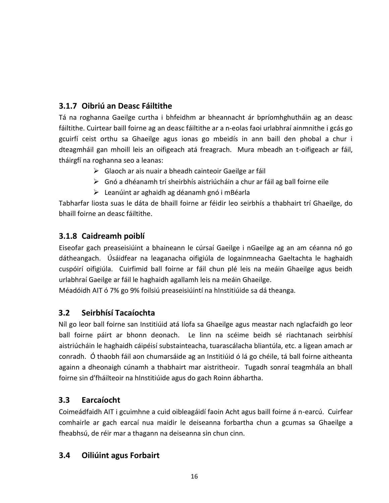# **3.1.7 Oibriú an Deasc Fáiltithe**

Tá na roghanna Gaeilge curtha i bhfeidhm ar bheannacht ár bpríomhghutháin ag an deasc fáiltithe. Cuirtear baill foirne ag an deasc fáiltithe ar a n-eolas faoi urlabhraí ainmnithe i gcás go gcuirfí ceist orthu sa Ghaeilge agus ionas go mbeidís in ann baill den phobal a chur i dteagmháil gan mhoill leis an oifigeach atá freagrach. Mura mbeadh an t-oifigeach ar fáil, tháirgfí na roghanna seo a leanas:

- $\triangleright$  Glaoch ar ais nuair a bheadh cainteoir Gaeilge ar fáil
- $\triangleright$  Gnó a dhéanamh trí sheirbhís aistriúcháin a chur ar fáil ag ball foirne eile
- $\triangleright$  Leanúint ar aghaidh ag déanamh gnó i mBéarla

Tabharfar liosta suas le dáta de bhaill foirne ar féidir leo seirbhís a thabhairt trí Ghaeilge, do bhaill foirne an deasc fáiltithe.

#### **3.1.8 Caidreamh poiblí**

Eiseofar gach preaseisiúint a bhaineann le cúrsaí Gaeilge i nGaeilge ag an am céanna nó go dátheangach. Úsáidfear na leaganacha oifigiúla de logainmneacha Gaeltachta le haghaidh cuspóirí oifigiúla. Cuirfimid ball foirne ar fáil chun plé leis na meáin Ghaeilge agus beidh urlabhraí Gaeilge ar fáil le haghaidh agallamh leis na meáin Ghaeilge.

Méadóidh AIT ó 7% go 9% foilsiú preaseisiúintí na hInstitiúide sa dá theanga.

#### **3.2 Seirbhísí Tacaíochta**

Níl go leor ball foirne san Institiúid atá líofa sa Ghaeilge agus meastar nach nglacfaidh go leor ball foirne páirt ar bhonn deonach. Le linn na scéime beidh sé riachtanach seirbhísí aistriúcháin le haghaidh cáipéisí substainteacha, tuarascálacha bliantúla, etc. a ligean amach ar conradh. Ó thaobh fáil aon chumarsáide ag an Institiúid ó lá go chéile, tá ball foirne aitheanta againn a dheonaigh cúnamh a thabhairt mar aistritheoir. Tugadh sonraí teagmhála an bhall foirne sin d'fháilteoir na hInstitiúide agus do gach Roinn ábhartha.

#### **3.3 Earcaíocht**

Coimeádfaidh AIT i gcuimhne a cuid oibleagáidí faoin Acht agus baill foirne á n-earcú. Cuirfear comhairle ar gach earcaí nua maidir le deiseanna forbartha chun a gcumas sa Ghaeilge a fheabhsú, de réir mar a thagann na deiseanna sin chun cinn.

#### **3.4 Oiliúint agus Forbairt**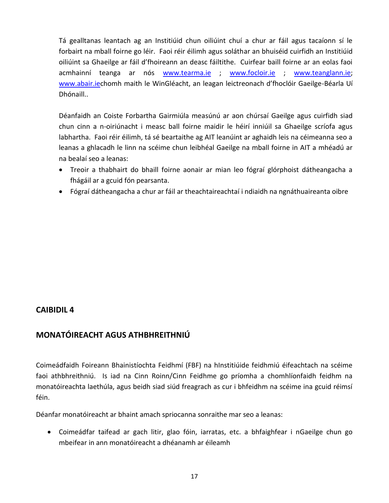Tá gealltanas leantach ag an Institiúid chun oiliúint chuí a chur ar fáil agus tacaíonn sí le forbairt na mball foirne go léir. Faoi réir éilimh agus soláthar an bhuiséid cuirfidh an Institiúid oiliúint sa Ghaeilge ar fáil d'fhoireann an deasc fáiltithe. Cuirfear baill foirne ar an eolas faoi acmhainní teanga ar nós [www.tearma.ie](http://www.tearma.ie/) ; [www.focloir.ie](http://www.focloir.ie/) ; [www.teanglann.ie;](http://www.teanglann.ie/) [www.abair.ie](http://www.abair.ie/)chomh maith le WinGléacht, an leagan leictreonach d'fhoclóir Gaeilge-Béarla Uí Dhónaill..

Déanfaidh an Coiste Forbartha Gairmiúla measúnú ar aon chúrsaí Gaeilge agus cuirfidh siad chun cinn a n-oiriúnacht i measc ball foirne maidir le héirí inniúil sa Ghaeilge scríofa agus labhartha. Faoi réir éilimh, tá sé beartaithe ag AIT leanúint ar aghaidh leis na céimeanna seo a leanas a ghlacadh le linn na scéime chun leibhéal Gaeilge na mball foirne in AIT a mhéadú ar na bealaí seo a leanas:

- Treoir a thabhairt do bhaill foirne aonair ar mian leo fógraí glórphoist dátheangacha a fhágáil ar a gcuid fón pearsanta.
- Fógraí dátheangacha a chur ar fáil ar theachtaireachtaí i ndiaidh na ngnáthuaireanta oibre

#### **CAIBIDIL 4**

#### **MONATÓIREACHT AGUS ATHBHREITHNIÚ**

Coimeádfaidh Foireann Bhainistíochta Feidhmí (FBF) na hInstitiúide feidhmiú éifeachtach na scéime faoi athbhreithniú. Is iad na Cinn Roinn/Cinn Feidhme go príomha a chomhlíonfaidh feidhm na monatóireachta laethúla, agus beidh siad siúd freagrach as cur i bhfeidhm na scéime ina gcuid réimsí féin.

Déanfar monatóireacht ar bhaint amach spriocanna sonraithe mar seo a leanas:

 Coimeádfar taifead ar gach litir, glao fóin, iarratas, etc. a bhfaighfear i nGaeilge chun go mbeifear in ann monatóireacht a dhéanamh ar éileamh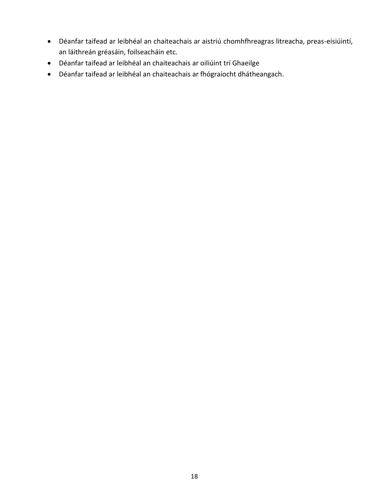- Déanfar taifead ar leibhéal an chaiteachais ar aistriú chomhfhreagras litreacha, preas-eisiúintí, an láithreán gréasáin, foilseacháin etc.
- Déanfar taifead ar leibhéal an chaiteachais ar oiliúint trí Ghaeilge
- Déanfar taifead ar leibhéal an chaiteachais ar fhógraíocht dhátheangach.